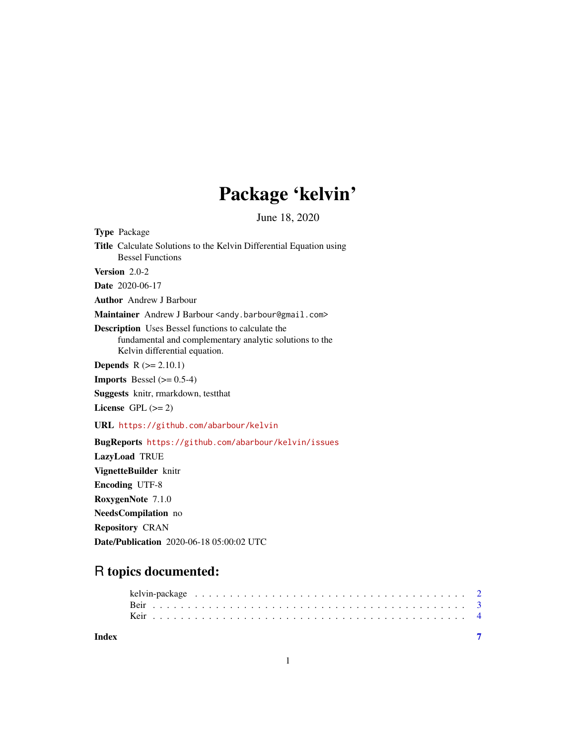# Package 'kelvin'

June 18, 2020

<span id="page-0-0"></span>

| <b>Type Package</b>                                                                                                                                   |
|-------------------------------------------------------------------------------------------------------------------------------------------------------|
| Title Calculate Solutions to the Kelvin Differential Equation using<br><b>Bessel Functions</b>                                                        |
| Version 2.0-2                                                                                                                                         |
| <b>Date</b> 2020-06-17                                                                                                                                |
| <b>Author</b> Andrew J Barbour                                                                                                                        |
| Maintainer Andrew J Barbour <andy.barbour@gmail.com></andy.barbour@gmail.com>                                                                         |
| <b>Description</b> Uses Bessel functions to calculate the<br>fundamental and complementary analytic solutions to the<br>Kelvin differential equation. |
| <b>Depends</b> $R (= 2.10.1)$                                                                                                                         |
| <b>Imports</b> Bessel $(>= 0.5-4)$                                                                                                                    |
| Suggests knitr, rmarkdown, test that                                                                                                                  |
| License $GPL (= 2)$                                                                                                                                   |
| URL https://github.com/abarbour/kelvin                                                                                                                |
| BugReports https://github.com/abarbour/kelvin/issues                                                                                                  |
| LazyLoad TRUE                                                                                                                                         |
| VignetteBuilder knitr                                                                                                                                 |
| <b>Encoding UTF-8</b>                                                                                                                                 |
| RoxygenNote 7.1.0                                                                                                                                     |
| <b>NeedsCompilation</b> no                                                                                                                            |
| <b>Repository CRAN</b>                                                                                                                                |

Date/Publication 2020-06-18 05:00:02 UTC

# R topics documented:

| Index |  |  |  |  |  |  |  |  |  |  |  |  |  |  |  |  |  |  |  |  |
|-------|--|--|--|--|--|--|--|--|--|--|--|--|--|--|--|--|--|--|--|--|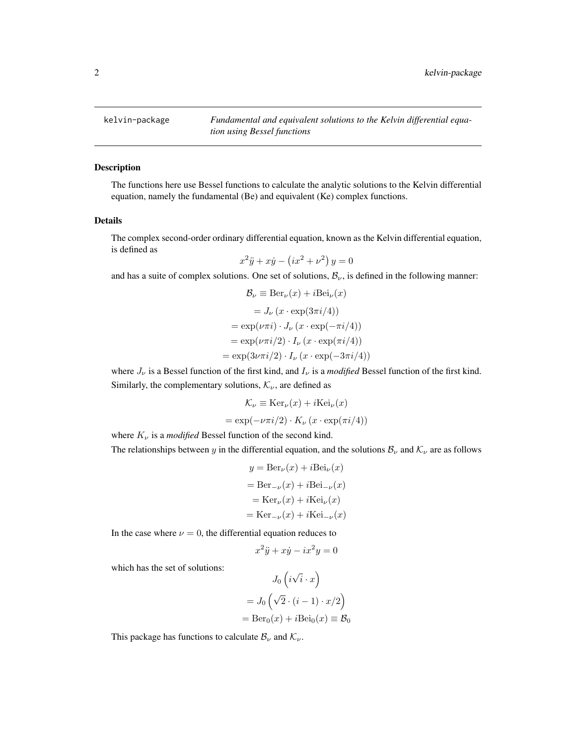<span id="page-1-1"></span><span id="page-1-0"></span>

#### Description

The functions here use Bessel functions to calculate the analytic solutions to the Kelvin differential equation, namely the fundamental (Be) and equivalent (Ke) complex functions.

#### Details

The complex second-order ordinary differential equation, known as the Kelvin differential equation, is defined as

$$
x^2\ddot{y} + x\dot{y} - \left(ix^2 + \nu^2\right)y = 0
$$

and has a suite of complex solutions. One set of solutions,  $B_{\nu}$ , is defined in the following manner:

$$
\mathcal{B}_{\nu} \equiv \text{Ber}_{\nu}(x) + i\text{Bei}_{\nu}(x)
$$

$$
= J_{\nu}(x \cdot \exp(3\pi i/4))
$$

$$
= \exp(\nu \pi i) \cdot J_{\nu}(x \cdot \exp(-\pi i/4))
$$

$$
= \exp(\nu \pi i/2) \cdot I_{\nu}(x \cdot \exp(\pi i/4))
$$

$$
= \exp(3\nu \pi i/2) \cdot I_{\nu}(x \cdot \exp(-3\pi i/4))
$$

where  $J_{\nu}$  is a Bessel function of the first kind, and  $I_{\nu}$  is a *modified* Bessel function of the first kind. Similarly, the complementary solutions,  $\mathcal{K}_{\nu}$ , are defined as

$$
\mathcal{K}_{\nu} \equiv \text{Ker}_{\nu}(x) + i \text{Kei}_{\nu}(x)
$$

$$
= \exp(-\nu \pi i/2) \cdot K_{\nu} (x \cdot \exp(\pi i/4))
$$

where  $K_{\nu}$  is a *modified* Bessel function of the second kind.

The relationships between y in the differential equation, and the solutions  $B_{\nu}$  and  $K_{\nu}$  are as follows

$$
y = Ber_{\nu}(x) + iBei_{\nu}(x)
$$

$$
= Ber_{-\nu}(x) + iBei_{-\nu}(x)
$$

$$
= Ker_{\nu}(x) + iKei_{\nu}(x)
$$

$$
= Ker_{-\nu}(x) + iKei_{-\nu}(x)
$$

In the case where  $\nu = 0$ , the differential equation reduces to

$$
x^2\ddot{y} + x\dot{y} - ix^2y = 0
$$

which has the set of solutions:

$$
J_0(i\sqrt{i} \cdot x)
$$
  
=  $J_0(\sqrt{2} \cdot (i-1) \cdot x/2)$   
=  $\text{Ber}_0(x) + i\text{Bei}_0(x) \equiv \mathcal{B}_0$ 

This package has functions to calculate  $\mathcal{B}_{\nu}$  and  $\mathcal{K}_{\nu}$ .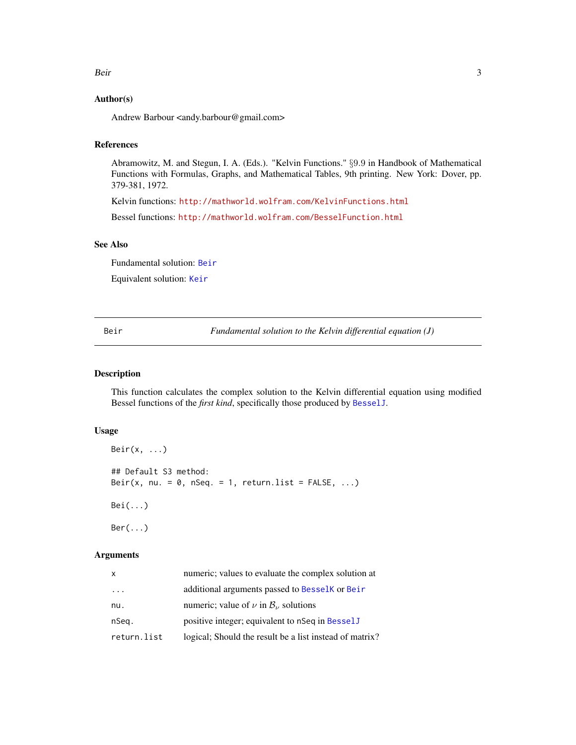#### <span id="page-2-0"></span>Beir 3

#### Author(s)

Andrew Barbour <andy.barbour@gmail.com>

## References

Abramowitz, M. and Stegun, I. A. (Eds.). "Kelvin Functions." §9.9 in Handbook of Mathematical Functions with Formulas, Graphs, and Mathematical Tables, 9th printing. New York: Dover, pp. 379-381, 1972.

Kelvin functions: <http://mathworld.wolfram.com/KelvinFunctions.html>

Bessel functions: <http://mathworld.wolfram.com/BesselFunction.html>

# See Also

Fundamental solution: [Beir](#page-2-1)

Equivalent solution: [Keir](#page-3-1)

<span id="page-2-1"></span>Beir *Fundamental solution to the Kelvin differential equation (J)*

#### <span id="page-2-2"></span>Description

This function calculates the complex solution to the Kelvin differential equation using modified Bessel functions of the *first kind*, specifically those produced by [BesselJ](#page-0-0).

## Usage

```
Beir(x, ...)
## Default S3 method:
Beir(x, nu. = 0, nSeq. = 1, return.list = FALSE, ...)
Bei(...)
Ber(\ldots)
```
#### Arguments

| x           | numeric; values to evaluate the complex solution at      |
|-------------|----------------------------------------------------------|
| $\cdots$    | additional arguments passed to Besselk or Beir           |
| nu.         | numeric; value of $\nu$ in $\mathcal{B}_{\nu}$ solutions |
| nSeg.       | positive integer; equivalent to nSeq in Bessel J         |
| return.list | logical; Should the result be a list instead of matrix?  |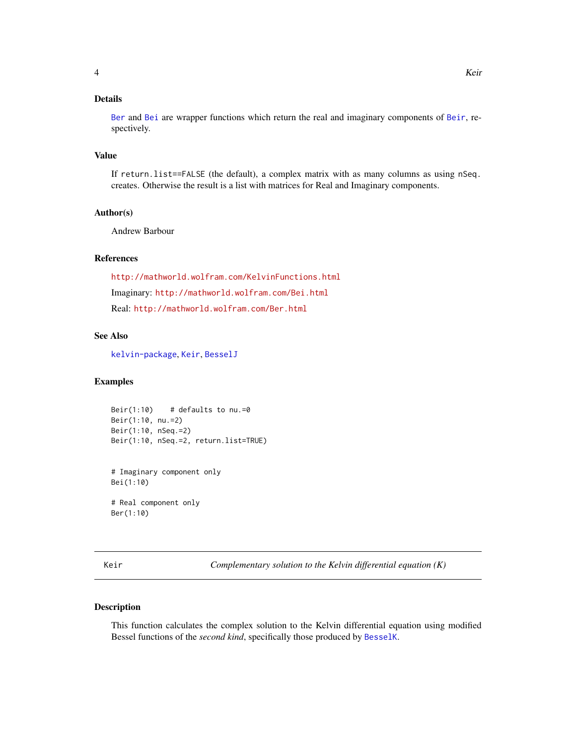# <span id="page-3-0"></span>Details

[Ber](#page-2-2) and [Bei](#page-2-2) are wrapper functions which return the real and imaginary components of [Beir](#page-2-1), respectively.

#### Value

If return.list==FALSE (the default), a complex matrix with as many columns as using nSeq. creates. Otherwise the result is a list with matrices for Real and Imaginary components.

#### Author(s)

Andrew Barbour

### References

<http://mathworld.wolfram.com/KelvinFunctions.html> Imaginary: <http://mathworld.wolfram.com/Bei.html> Real: <http://mathworld.wolfram.com/Ber.html>

#### See Also

[kelvin-package](#page-1-1), [Keir](#page-3-1), [BesselJ](#page-0-0)

#### Examples

```
Beir(1:10) # defaults to nu.=0
Beir(1:10, nu.=2)
Beir(1:10, nSeq.=2)
Beir(1:10, nSeq.=2, return.list=TRUE)
```
# Imaginary component only Bei(1:10)

# Real component only Ber(1:10)

<span id="page-3-1"></span>Keir *Complementary solution to the Kelvin differential equation (K)*

#### <span id="page-3-2"></span>Description

This function calculates the complex solution to the Kelvin differential equation using modified Bessel functions of the *second kind*, specifically those produced by [BesselK](#page-0-0).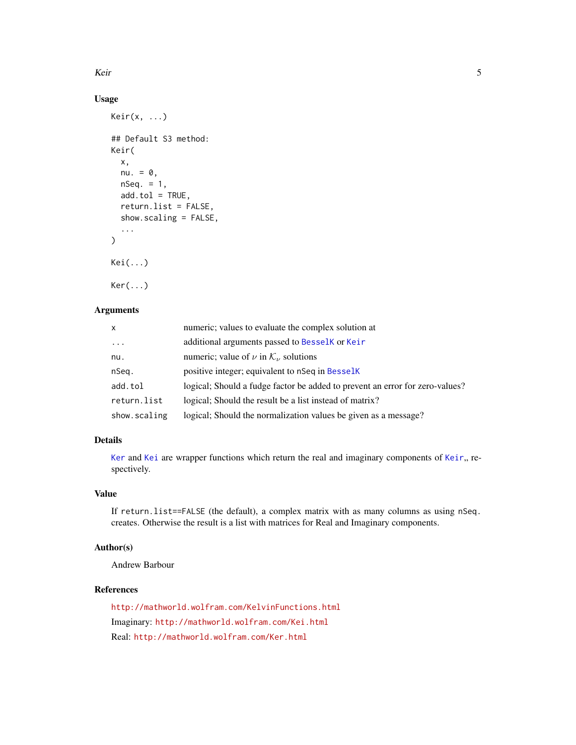<span id="page-4-0"></span>Keir 5

## Usage

```
Keir(x, \ldots)## Default S3 method:
Keir(
  x,
  nu. = 0,nSeq. = 1,
  add.tol = TRUE,return.list = FALSE,
  show.scaling = FALSE,
  ...
\mathcal{L}Kei(...)
Ker(...)
```
# Arguments

| X            | numeric; values to evaluate the complex solution at                          |
|--------------|------------------------------------------------------------------------------|
| $\cdots$     | additional arguments passed to Bessel K or Keir                              |
| nu.          | numeric; value of $\nu$ in $\mathcal{K}_{\nu}$ solutions                     |
| nSeq.        | positive integer; equivalent to nSeq in Besselk                              |
| add.tol      | logical; Should a fudge factor be added to prevent an error for zero-values? |
| return.list  | logical; Should the result be a list instead of matrix?                      |
| show.scaling | logical; Should the normalization values be given as a message?              |

# Details

[Ker](#page-3-2) and [Kei](#page-3-2) are wrapper functions which return the real and imaginary components of [Keir](#page-3-1),, respectively.

#### Value

If return.list==FALSE (the default), a complex matrix with as many columns as using nSeq. creates. Otherwise the result is a list with matrices for Real and Imaginary components.

## Author(s)

Andrew Barbour

# References

<http://mathworld.wolfram.com/KelvinFunctions.html> Imaginary: <http://mathworld.wolfram.com/Kei.html> Real: <http://mathworld.wolfram.com/Ker.html>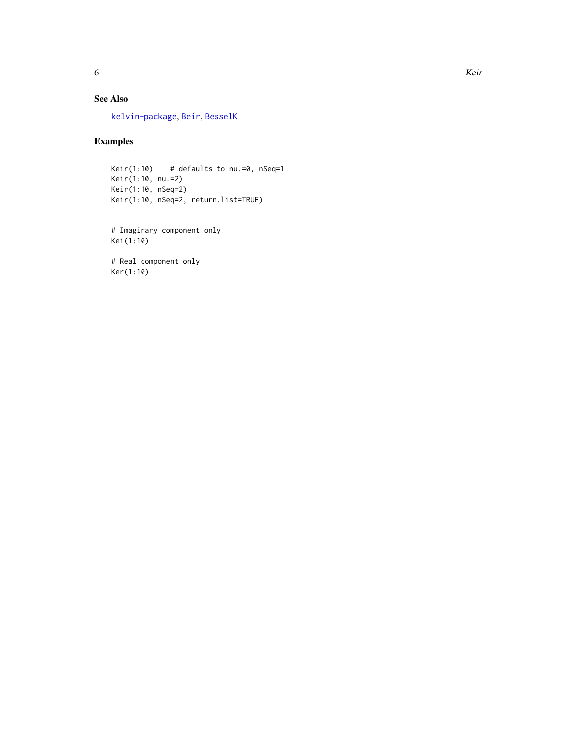# <span id="page-5-0"></span>See Also

[kelvin-package](#page-1-1), [Beir](#page-2-1), [BesselK](#page-0-0)

#### Examples

```
Keir(1:10) # defaults to nu.=0, nSeq=1
Keir(1:10, nu.=2)
Keir(1:10, nSeq=2)
Keir(1:10, nSeq=2, return.list=TRUE)
```
# Imaginary component only Kei(1:10)

# Real component only Ker(1:10)